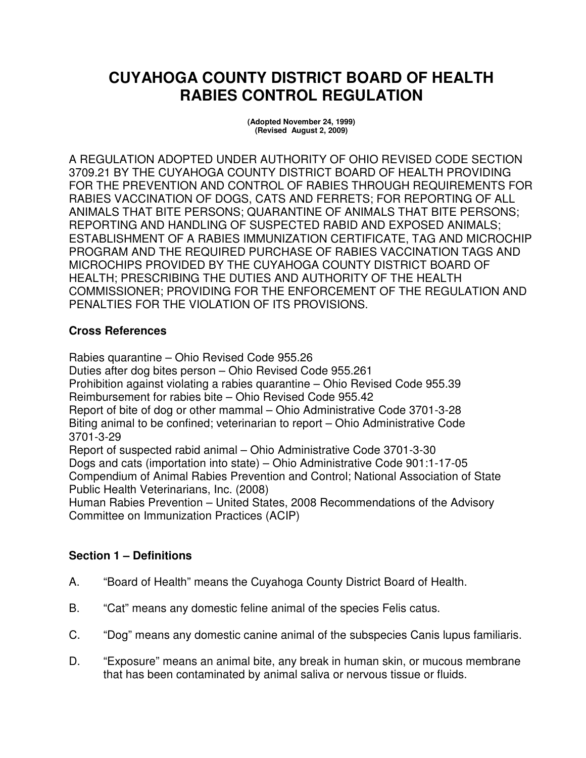# **CUYAHOGA COUNTY DISTRICT BOARD OF HEALTH RABIES CONTROL REGULATION**

**(Adopted November 24, 1999) (Revised August 2, 2009)** 

A REGULATION ADOPTED UNDER AUTHORITY OF OHIO REVISED CODE SECTION 3709.21 BY THE CUYAHOGA COUNTY DISTRICT BOARD OF HEALTH PROVIDING FOR THE PREVENTION AND CONTROL OF RABIES THROUGH REQUIREMENTS FOR RABIES VACCINATION OF DOGS, CATS AND FERRETS; FOR REPORTING OF ALL ANIMALS THAT BITE PERSONS; QUARANTINE OF ANIMALS THAT BITE PERSONS; REPORTING AND HANDLING OF SUSPECTED RABID AND EXPOSED ANIMALS; ESTABLISHMENT OF A RABIES IMMUNIZATION CERTIFICATE, TAG AND MICROCHIP PROGRAM AND THE REQUIRED PURCHASE OF RABIES VACCINATION TAGS AND MICROCHIPS PROVIDED BY THE CUYAHOGA COUNTY DISTRICT BOARD OF HEALTH; PRESCRIBING THE DUTIES AND AUTHORITY OF THE HEALTH COMMISSIONER; PROVIDING FOR THE ENFORCEMENT OF THE REGULATION AND PENALTIES FOR THE VIOLATION OF ITS PROVISIONS.

# **Cross References**

Rabies quarantine – Ohio Revised Code 955.26 Duties after dog bites person – Ohio Revised Code 955.261 Prohibition against violating a rabies quarantine – Ohio Revised Code 955.39 Reimbursement for rabies bite – Ohio Revised Code 955.42 Report of bite of dog or other mammal – Ohio Administrative Code 3701-3-28 Biting animal to be confined; veterinarian to report – Ohio Administrative Code 3701-3-29 Report of suspected rabid animal – Ohio Administrative Code 3701-3-30 Dogs and cats (importation into state) – Ohio Administrative Code 901:1-17-05 Compendium of Animal Rabies Prevention and Control; National Association of State

Public Health Veterinarians, Inc. (2008)

Human Rabies Prevention – United States, 2008 Recommendations of the Advisory Committee on Immunization Practices (ACIP)

### **Section 1 – Definitions**

- A. "Board of Health" means the Cuyahoga County District Board of Health.
- B. "Cat" means any domestic feline animal of the species Felis catus.
- C. "Dog" means any domestic canine animal of the subspecies Canis lupus familiaris.
- D. "Exposure" means an animal bite, any break in human skin, or mucous membrane that has been contaminated by animal saliva or nervous tissue or fluids.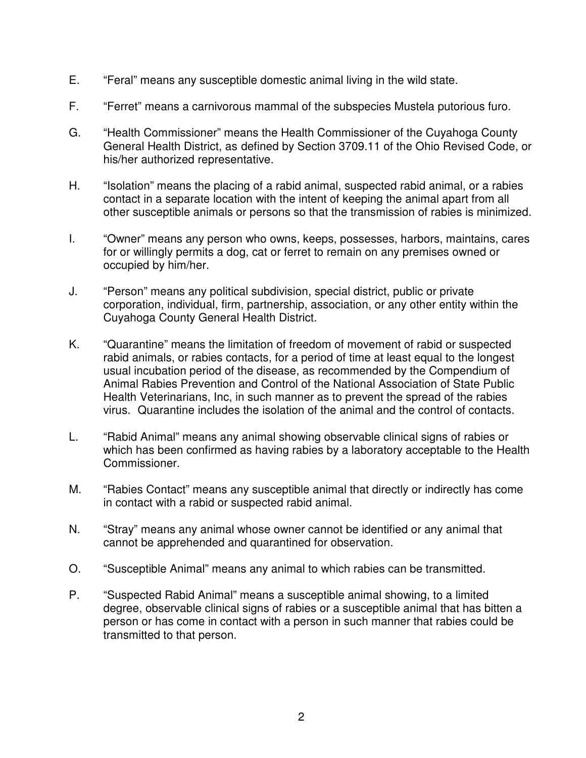- E. "Feral" means any susceptible domestic animal living in the wild state.
- F. "Ferret" means a carnivorous mammal of the subspecies Mustela putorious furo.
- G. "Health Commissioner" means the Health Commissioner of the Cuyahoga County General Health District, as defined by Section 3709.11 of the Ohio Revised Code, or his/her authorized representative.
- H. "Isolation" means the placing of a rabid animal, suspected rabid animal, or a rabies contact in a separate location with the intent of keeping the animal apart from all other susceptible animals or persons so that the transmission of rabies is minimized.
- I. "Owner" means any person who owns, keeps, possesses, harbors, maintains, cares for or willingly permits a dog, cat or ferret to remain on any premises owned or occupied by him/her.
- J. "Person" means any political subdivision, special district, public or private corporation, individual, firm, partnership, association, or any other entity within the Cuyahoga County General Health District.
- K. "Quarantine" means the limitation of freedom of movement of rabid or suspected rabid animals, or rabies contacts, for a period of time at least equal to the longest usual incubation period of the disease, as recommended by the Compendium of Animal Rabies Prevention and Control of the National Association of State Public Health Veterinarians, Inc, in such manner as to prevent the spread of the rabies virus. Quarantine includes the isolation of the animal and the control of contacts.
- L. "Rabid Animal" means any animal showing observable clinical signs of rabies or which has been confirmed as having rabies by a laboratory acceptable to the Health Commissioner.
- M. "Rabies Contact" means any susceptible animal that directly or indirectly has come in contact with a rabid or suspected rabid animal.
- N. "Stray" means any animal whose owner cannot be identified or any animal that cannot be apprehended and quarantined for observation.
- O. "Susceptible Animal" means any animal to which rabies can be transmitted.
- P. "Suspected Rabid Animal" means a susceptible animal showing, to a limited degree, observable clinical signs of rabies or a susceptible animal that has bitten a person or has come in contact with a person in such manner that rabies could be transmitted to that person.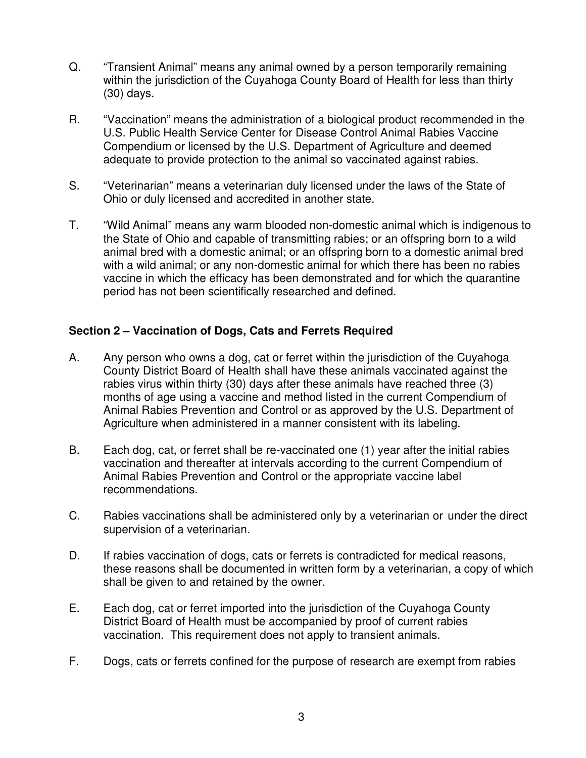- Q. "Transient Animal" means any animal owned by a person temporarily remaining within the jurisdiction of the Cuyahoga County Board of Health for less than thirty (30) days.
- R. "Vaccination" means the administration of a biological product recommended in the U.S. Public Health Service Center for Disease Control Animal Rabies Vaccine Compendium or licensed by the U.S. Department of Agriculture and deemed adequate to provide protection to the animal so vaccinated against rabies.
- S. "Veterinarian" means a veterinarian duly licensed under the laws of the State of Ohio or duly licensed and accredited in another state.
- T. "Wild Animal" means any warm blooded non-domestic animal which is indigenous to the State of Ohio and capable of transmitting rabies; or an offspring born to a wild animal bred with a domestic animal; or an offspring born to a domestic animal bred with a wild animal; or any non-domestic animal for which there has been no rabies vaccine in which the efficacy has been demonstrated and for which the quarantine period has not been scientifically researched and defined.

# **Section 2 – Vaccination of Dogs, Cats and Ferrets Required**

- A. Any person who owns a dog, cat or ferret within the jurisdiction of the Cuyahoga County District Board of Health shall have these animals vaccinated against the rabies virus within thirty (30) days after these animals have reached three (3) months of age using a vaccine and method listed in the current Compendium of Animal Rabies Prevention and Control or as approved by the U.S. Department of Agriculture when administered in a manner consistent with its labeling.
- B. Each dog, cat, or ferret shall be re-vaccinated one (1) year after the initial rabies vaccination and thereafter at intervals according to the current Compendium of Animal Rabies Prevention and Control or the appropriate vaccine label recommendations.
- C. Rabies vaccinations shall be administered only by a veterinarian or under the direct supervision of a veterinarian.
- D. If rabies vaccination of dogs, cats or ferrets is contradicted for medical reasons, these reasons shall be documented in written form by a veterinarian, a copy of which shall be given to and retained by the owner.
- E. Each dog, cat or ferret imported into the jurisdiction of the Cuyahoga County District Board of Health must be accompanied by proof of current rabies vaccination. This requirement does not apply to transient animals.
- F. Dogs, cats or ferrets confined for the purpose of research are exempt from rabies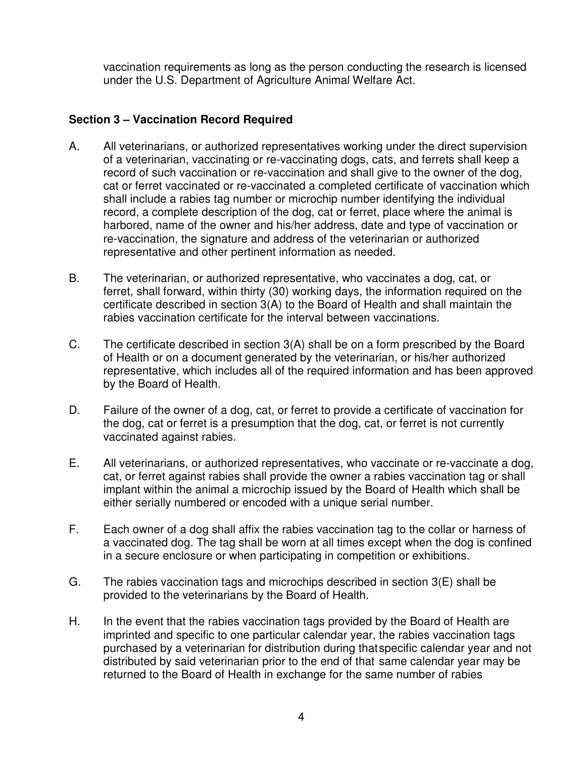vaccination requirements as long as the person conducting the research is licensed under the U.S. Department of Agriculture Animal Welfare Act.

#### **Section 3 – Vaccination Record Required**

- A. All veterinarians, or authorized representatives working under the direct supervision of a veterinarian, vaccinating or re-vaccinating dogs, cats, and ferrets shall keep a record of such vaccination or re-vaccination and shall give to the owner of the dog, cat or ferret vaccinated or re-vaccinated a completed certificate of vaccination which shall include a rabies tag number or microchip number identifying the individual record, a complete description of the dog, cat or ferret, place where the animal is harbored, name of the owner and his/her address, date and type of vaccination or re-vaccination, the signature and address of the veterinarian or authorized representative and other pertinent information as needed.
- B. The veterinarian, or authorized representative, who vaccinates a dog, cat, or ferret, shall forward, within thirty (30) working days, the information required on the certificate described in section 3(A) to the Board of Health and shall maintain the rabies vaccination certificate for the interval between vaccinations.
- C. The certificate described in section 3(A) shall be on a form prescribed by the Board of Health or on a document generated by the veterinarian, or his/her authorized representative, which includes all of the required information and has been approved by the Board of Health.
- D. Failure of the owner of a dog, cat, or ferret to provide a certificate of vaccination for the dog, cat or ferret is a presumption that the dog, cat, or ferret is not currently vaccinated against rabies.
- E. All veterinarians, or authorized representatives, who vaccinate or re-vaccinate a dog, cat, or ferret against rabies shall provide the owner a rabies vaccination tag or shall implant within the animal a microchip issued by the Board of Health which shall be either serially numbered or encoded with a unique serial number.
- F. Each owner of a dog shall affix the rabies vaccination tag to the collar or harness of a vaccinated dog. The tag shall be worn at all times except when the dog is confined in a secure enclosure or when participating in competition or exhibitions.
- G. The rabies vaccination tags and microchips described in section 3(E) shall be provided to the veterinarians by the Board of Health.
- H. In the event that the rabies vaccination tags provided by the Board of Health are imprinted and specific to one particular calendar year, the rabies vaccination tags purchased by a veterinarian for distribution during that specific calendar year and not distributed by said veterinarian prior to the end of that same calendar year may be returned to the Board of Health in exchange for the same number of rabies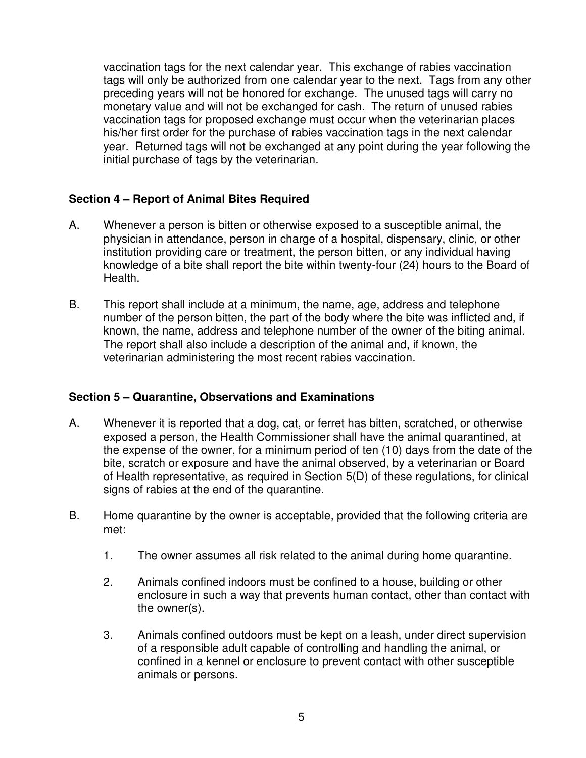vaccination tags for the next calendar year. This exchange of rabies vaccination tags will only be authorized from one calendar year to the next. Tags from any other preceding years will not be honored for exchange. The unused tags will carry no monetary value and will not be exchanged for cash. The return of unused rabies vaccination tags for proposed exchange must occur when the veterinarian places his/her first order for the purchase of rabies vaccination tags in the next calendar year. Returned tags will not be exchanged at any point during the year following the initial purchase of tags by the veterinarian.

### **Section 4 – Report of Animal Bites Required**

- A. Whenever a person is bitten or otherwise exposed to a susceptible animal, the physician in attendance, person in charge of a hospital, dispensary, clinic, or other institution providing care or treatment, the person bitten, or any individual having knowledge of a bite shall report the bite within twenty-four (24) hours to the Board of Health.
- B. This report shall include at a minimum, the name, age, address and telephone number of the person bitten, the part of the body where the bite was inflicted and, if known, the name, address and telephone number of the owner of the biting animal. The report shall also include a description of the animal and, if known, the veterinarian administering the most recent rabies vaccination.

### **Section 5 – Quarantine, Observations and Examinations**

- A. Whenever it is reported that a dog, cat, or ferret has bitten, scratched, or otherwise exposed a person, the Health Commissioner shall have the animal quarantined, at the expense of the owner, for a minimum period of ten (10) days from the date of the bite, scratch or exposure and have the animal observed, by a veterinarian or Board of Health representative, as required in Section 5(D) of these regulations, for clinical signs of rabies at the end of the quarantine.
- B. Home quarantine by the owner is acceptable, provided that the following criteria are met:
	- 1. The owner assumes all risk related to the animal during home quarantine.
	- 2. Animals confined indoors must be confined to a house, building or other enclosure in such a way that prevents human contact, other than contact with the owner(s).
	- 3. Animals confined outdoors must be kept on a leash, under direct supervision of a responsible adult capable of controlling and handling the animal, or confined in a kennel or enclosure to prevent contact with other susceptible animals or persons.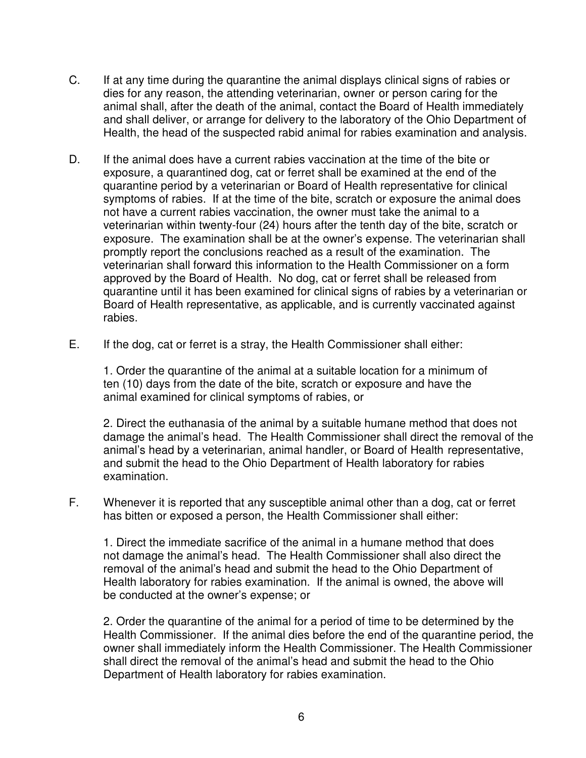- C. If at any time during the quarantine the animal displays clinical signs of rabies or dies for any reason, the attending veterinarian, owner or person caring for the animal shall, after the death of the animal, contact the Board of Health immediately and shall deliver, or arrange for delivery to the laboratory of the Ohio Department of Health, the head of the suspected rabid animal for rabies examination and analysis.
- D. If the animal does have a current rabies vaccination at the time of the bite or exposure, a quarantined dog, cat or ferret shall be examined at the end of the quarantine period by a veterinarian or Board of Health representative for clinical symptoms of rabies. If at the time of the bite, scratch or exposure the animal does not have a current rabies vaccination, the owner must take the animal to a veterinarian within twenty-four (24) hours after the tenth day of the bite, scratch or exposure. The examination shall be at the owner's expense. The veterinarian shall promptly report the conclusions reached as a result of the examination. The veterinarian shall forward this information to the Health Commissioner on a form approved by the Board of Health. No dog, cat or ferret shall be released from quarantine until it has been examined for clinical signs of rabies by a veterinarian or Board of Health representative, as applicable, and is currently vaccinated against rabies.
- E. If the dog, cat or ferret is a stray, the Health Commissioner shall either:

 1. Order the quarantine of the animal at a suitable location for a minimum of ten (10) days from the date of the bite, scratch or exposure and have the animal examined for clinical symptoms of rabies, or

 2. Direct the euthanasia of the animal by a suitable humane method that does not damage the animal's head. The Health Commissioner shall direct the removal of the animal's head by a veterinarian, animal handler, or Board of Health representative, and submit the head to the Ohio Department of Health laboratory for rabies examination.

F. Whenever it is reported that any susceptible animal other than a dog, cat or ferret has bitten or exposed a person, the Health Commissioner shall either:

 1. Direct the immediate sacrifice of the animal in a humane method that does not damage the animal's head. The Health Commissioner shall also direct the removal of the animal's head and submit the head to the Ohio Department of Health laboratory for rabies examination. If the animal is owned, the above will be conducted at the owner's expense; or

 2. Order the quarantine of the animal for a period of time to be determined by the Health Commissioner. If the animal dies before the end of the quarantine period, the owner shall immediately inform the Health Commissioner. The Health Commissioner shall direct the removal of the animal's head and submit the head to the Ohio Department of Health laboratory for rabies examination.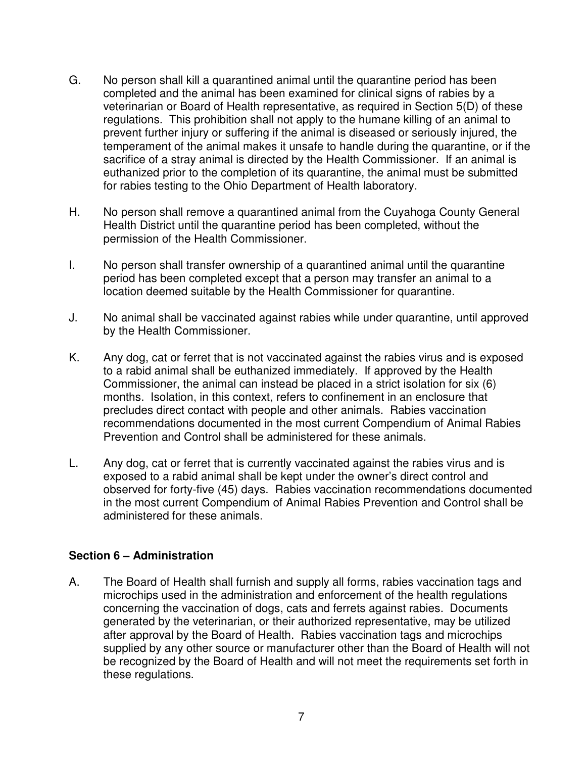- G. No person shall kill a quarantined animal until the quarantine period has been completed and the animal has been examined for clinical signs of rabies by a veterinarian or Board of Health representative, as required in Section 5(D) of these regulations. This prohibition shall not apply to the humane killing of an animal to prevent further injury or suffering if the animal is diseased or seriously injured, the temperament of the animal makes it unsafe to handle during the quarantine, or if the sacrifice of a stray animal is directed by the Health Commissioner. If an animal is euthanized prior to the completion of its quarantine, the animal must be submitted for rabies testing to the Ohio Department of Health laboratory.
- H. No person shall remove a quarantined animal from the Cuyahoga County General Health District until the quarantine period has been completed, without the permission of the Health Commissioner.
- I. No person shall transfer ownership of a quarantined animal until the quarantine period has been completed except that a person may transfer an animal to a location deemed suitable by the Health Commissioner for quarantine.
- J. No animal shall be vaccinated against rabies while under quarantine, until approved by the Health Commissioner.
- K. Any dog, cat or ferret that is not vaccinated against the rabies virus and is exposed to a rabid animal shall be euthanized immediately. If approved by the Health Commissioner, the animal can instead be placed in a strict isolation for six (6) months. Isolation, in this context, refers to confinement in an enclosure that precludes direct contact with people and other animals. Rabies vaccination recommendations documented in the most current Compendium of Animal Rabies Prevention and Control shall be administered for these animals.
- L. Any dog, cat or ferret that is currently vaccinated against the rabies virus and is exposed to a rabid animal shall be kept under the owner's direct control and observed for forty-five (45) days. Rabies vaccination recommendations documented in the most current Compendium of Animal Rabies Prevention and Control shall be administered for these animals.

### **Section 6 – Administration**

A. The Board of Health shall furnish and supply all forms, rabies vaccination tags and microchips used in the administration and enforcement of the health regulations concerning the vaccination of dogs, cats and ferrets against rabies. Documents generated by the veterinarian, or their authorized representative, may be utilized after approval by the Board of Health. Rabies vaccination tags and microchips supplied by any other source or manufacturer other than the Board of Health will not be recognized by the Board of Health and will not meet the requirements set forth in these regulations.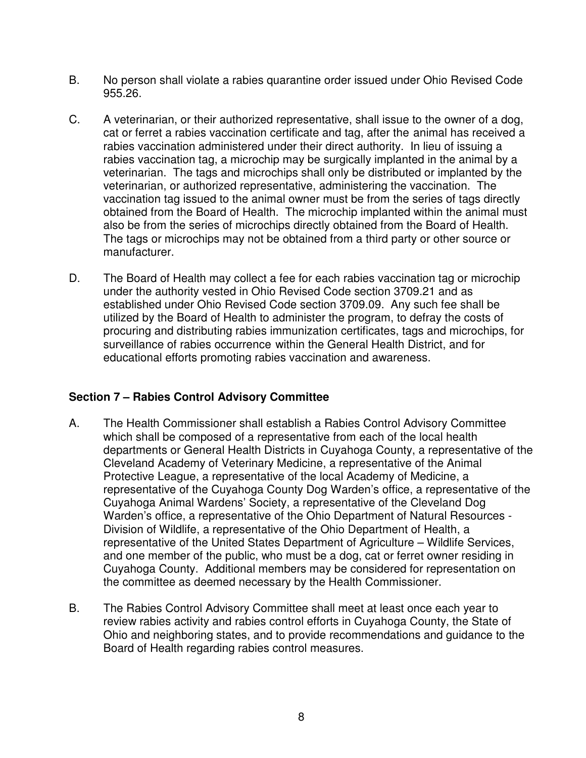- B. No person shall violate a rabies quarantine order issued under Ohio Revised Code 955.26.
- C. A veterinarian, or their authorized representative, shall issue to the owner of a dog, cat or ferret a rabies vaccination certificate and tag, after the animal has received a rabies vaccination administered under their direct authority. In lieu of issuing a rabies vaccination tag, a microchip may be surgically implanted in the animal by a veterinarian. The tags and microchips shall only be distributed or implanted by the veterinarian, or authorized representative, administering the vaccination. The vaccination tag issued to the animal owner must be from the series of tags directly obtained from the Board of Health. The microchip implanted within the animal must also be from the series of microchips directly obtained from the Board of Health. The tags or microchips may not be obtained from a third party or other source or manufacturer.
- D. The Board of Health may collect a fee for each rabies vaccination tag or microchip under the authority vested in Ohio Revised Code section 3709.21 and as established under Ohio Revised Code section 3709.09. Any such fee shall be utilized by the Board of Health to administer the program, to defray the costs of procuring and distributing rabies immunization certificates, tags and microchips, for surveillance of rabies occurrence within the General Health District, and for educational efforts promoting rabies vaccination and awareness.

### **Section 7 – Rabies Control Advisory Committee**

- A. The Health Commissioner shall establish a Rabies Control Advisory Committee which shall be composed of a representative from each of the local health departments or General Health Districts in Cuyahoga County, a representative of the Cleveland Academy of Veterinary Medicine, a representative of the Animal Protective League, a representative of the local Academy of Medicine, a representative of the Cuyahoga County Dog Warden's office, a representative of the Cuyahoga Animal Wardens' Society, a representative of the Cleveland Dog Warden's office, a representative of the Ohio Department of Natural Resources - Division of Wildlife, a representative of the Ohio Department of Health, a representative of the United States Department of Agriculture – Wildlife Services, and one member of the public, who must be a dog, cat or ferret owner residing in Cuyahoga County. Additional members may be considered for representation on the committee as deemed necessary by the Health Commissioner.
- B. The Rabies Control Advisory Committee shall meet at least once each year to review rabies activity and rabies control efforts in Cuyahoga County, the State of Ohio and neighboring states, and to provide recommendations and guidance to the Board of Health regarding rabies control measures.